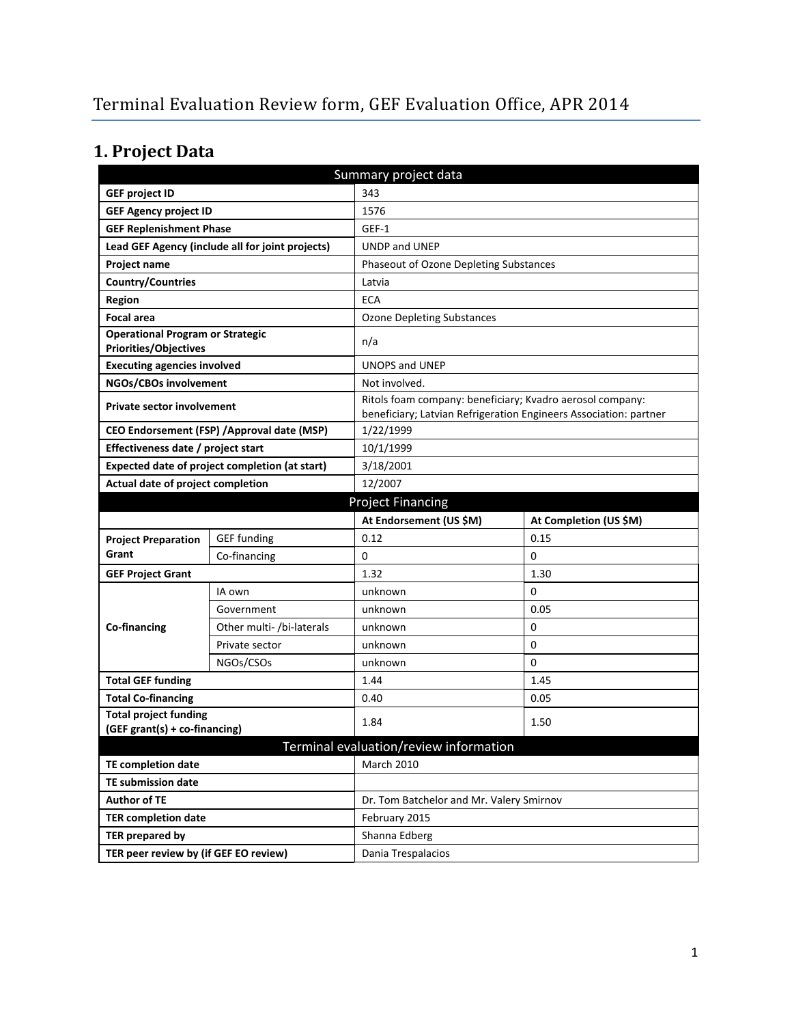# **1. Project Data**

| Summary project data                                                    |                                                  |                                                           |                                                                   |  |  |
|-------------------------------------------------------------------------|--------------------------------------------------|-----------------------------------------------------------|-------------------------------------------------------------------|--|--|
| <b>GEF project ID</b>                                                   |                                                  | 343                                                       |                                                                   |  |  |
| <b>GEF Agency project ID</b>                                            |                                                  | 1576                                                      |                                                                   |  |  |
| <b>GEF Replenishment Phase</b>                                          |                                                  | GEF-1                                                     |                                                                   |  |  |
|                                                                         | Lead GEF Agency (include all for joint projects) | <b>UNDP and UNEP</b>                                      |                                                                   |  |  |
| Project name                                                            |                                                  | Phaseout of Ozone Depleting Substances                    |                                                                   |  |  |
| <b>Country/Countries</b>                                                |                                                  | Latvia                                                    |                                                                   |  |  |
| Region                                                                  |                                                  | <b>ECA</b>                                                |                                                                   |  |  |
| <b>Focal area</b>                                                       |                                                  | <b>Ozone Depleting Substances</b>                         |                                                                   |  |  |
| <b>Operational Program or Strategic</b><br><b>Priorities/Objectives</b> |                                                  | n/a                                                       |                                                                   |  |  |
| <b>Executing agencies involved</b>                                      |                                                  | <b>UNOPS and UNEP</b>                                     |                                                                   |  |  |
| NGOs/CBOs involvement                                                   |                                                  | Not involved.                                             |                                                                   |  |  |
| Private sector involvement                                              |                                                  | Ritols foam company: beneficiary; Kvadro aerosol company: | beneficiary; Latvian Refrigeration Engineers Association: partner |  |  |
|                                                                         | CEO Endorsement (FSP) / Approval date (MSP)      | 1/22/1999                                                 |                                                                   |  |  |
| Effectiveness date / project start                                      |                                                  | 10/1/1999                                                 |                                                                   |  |  |
|                                                                         | Expected date of project completion (at start)   | 3/18/2001                                                 |                                                                   |  |  |
| Actual date of project completion                                       |                                                  | 12/2007                                                   |                                                                   |  |  |
| <b>Project Financing</b>                                                |                                                  |                                                           |                                                                   |  |  |
|                                                                         |                                                  | At Endorsement (US \$M)                                   | At Completion (US \$M)                                            |  |  |
| <b>Project Preparation</b>                                              | <b>GEF funding</b>                               | 0.12                                                      | 0.15                                                              |  |  |
| Grant                                                                   | Co-financing                                     | 0                                                         | 0                                                                 |  |  |
| <b>GEF Project Grant</b>                                                |                                                  | 1.32                                                      | 1.30                                                              |  |  |
|                                                                         | IA own                                           | unknown                                                   | 0                                                                 |  |  |
|                                                                         | Government                                       | unknown                                                   | 0.05                                                              |  |  |
| Co-financing                                                            | Other multi- /bi-laterals                        | unknown                                                   | 0                                                                 |  |  |
|                                                                         | Private sector                                   | unknown                                                   | 0                                                                 |  |  |
|                                                                         | NGOs/CSOs                                        | unknown                                                   | $\Omega$                                                          |  |  |
| <b>Total GEF funding</b>                                                |                                                  | 1.44                                                      | 1.45                                                              |  |  |
| <b>Total Co-financing</b>                                               |                                                  | 0.40                                                      | 0.05                                                              |  |  |
| <b>Total project funding</b><br>(GEF grant(s) + co-financing)           |                                                  | 1.84                                                      | 1.50                                                              |  |  |
|                                                                         |                                                  | Terminal evaluation/review information                    |                                                                   |  |  |
| <b>TE completion date</b><br><b>March 2010</b>                          |                                                  |                                                           |                                                                   |  |  |
| <b>TE submission date</b>                                               |                                                  |                                                           |                                                                   |  |  |
| <b>Author of TE</b>                                                     |                                                  | Dr. Tom Batchelor and Mr. Valery Smirnov                  |                                                                   |  |  |
| <b>TER completion date</b>                                              |                                                  | February 2015                                             |                                                                   |  |  |
|                                                                         |                                                  |                                                           |                                                                   |  |  |
| <b>TER prepared by</b>                                                  |                                                  | Shanna Edberg                                             |                                                                   |  |  |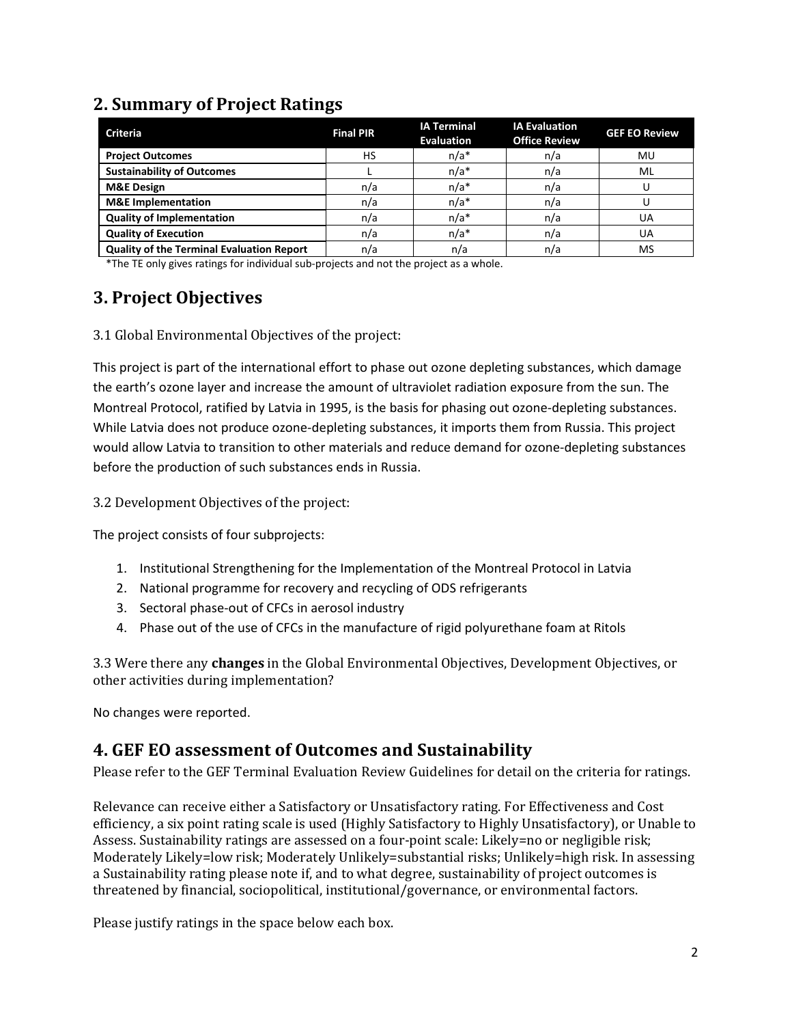### **2. Summary of Project Ratings**

| <b>Criteria</b>                                  | <b>Final PIR</b> | <b>IA Terminal</b><br><b>Evaluation</b> | <b>IA Evaluation</b><br><b>Office Review</b> | <b>GEF EO Review</b> |
|--------------------------------------------------|------------------|-----------------------------------------|----------------------------------------------|----------------------|
| <b>Project Outcomes</b>                          | HS               | $n/a*$                                  | n/a                                          | MU                   |
| <b>Sustainability of Outcomes</b>                |                  | $n/a*$                                  | n/a                                          | ML                   |
| <b>M&amp;E Design</b>                            | n/a              | $n/a*$                                  | n/a                                          |                      |
| <b>M&amp;E</b> Implementation                    | n/a              | $n/a*$                                  | n/a                                          |                      |
| <b>Quality of Implementation</b>                 | n/a              | $n/a*$                                  | n/a                                          | UA                   |
| <b>Quality of Execution</b>                      | n/a              | $n/a*$                                  | n/a                                          | UA                   |
| <b>Quality of the Terminal Evaluation Report</b> | n/a              | n/a                                     | n/a                                          | MS                   |

\*The TE only gives ratings for individual sub-projects and not the project as a whole.

# **3. Project Objectives**

3.1 Global Environmental Objectives of the project:

This project is part of the international effort to phase out ozone depleting substances, which damage the earth's ozone layer and increase the amount of ultraviolet radiation exposure from the sun. The Montreal Protocol, ratified by Latvia in 1995, is the basis for phasing out ozone-depleting substances. While Latvia does not produce ozone-depleting substances, it imports them from Russia. This project would allow Latvia to transition to other materials and reduce demand for ozone-depleting substances before the production of such substances ends in Russia.

3.2 Development Objectives of the project:

The project consists of four subprojects:

- 1. Institutional Strengthening for the Implementation of the Montreal Protocol in Latvia
- 2. National programme for recovery and recycling of ODS refrigerants
- 3. Sectoral phase-out of CFCs in aerosol industry
- 4. Phase out of the use of CFCs in the manufacture of rigid polyurethane foam at Ritols

3.3 Were there any **changes** in the Global Environmental Objectives, Development Objectives, or other activities during implementation?

No changes were reported.

### **4. GEF EO assessment of Outcomes and Sustainability**

Please refer to the GEF Terminal Evaluation Review Guidelines for detail on the criteria for ratings.

Relevance can receive either a Satisfactory or Unsatisfactory rating. For Effectiveness and Cost efficiency, a six point rating scale is used (Highly Satisfactory to Highly Unsatisfactory), or Unable to Assess. Sustainability ratings are assessed on a four-point scale: Likely=no or negligible risk; Moderately Likely=low risk; Moderately Unlikely=substantial risks; Unlikely=high risk. In assessing a Sustainability rating please note if, and to what degree, sustainability of project outcomes is threatened by financial, sociopolitical, institutional/governance, or environmental factors.

Please justify ratings in the space below each box.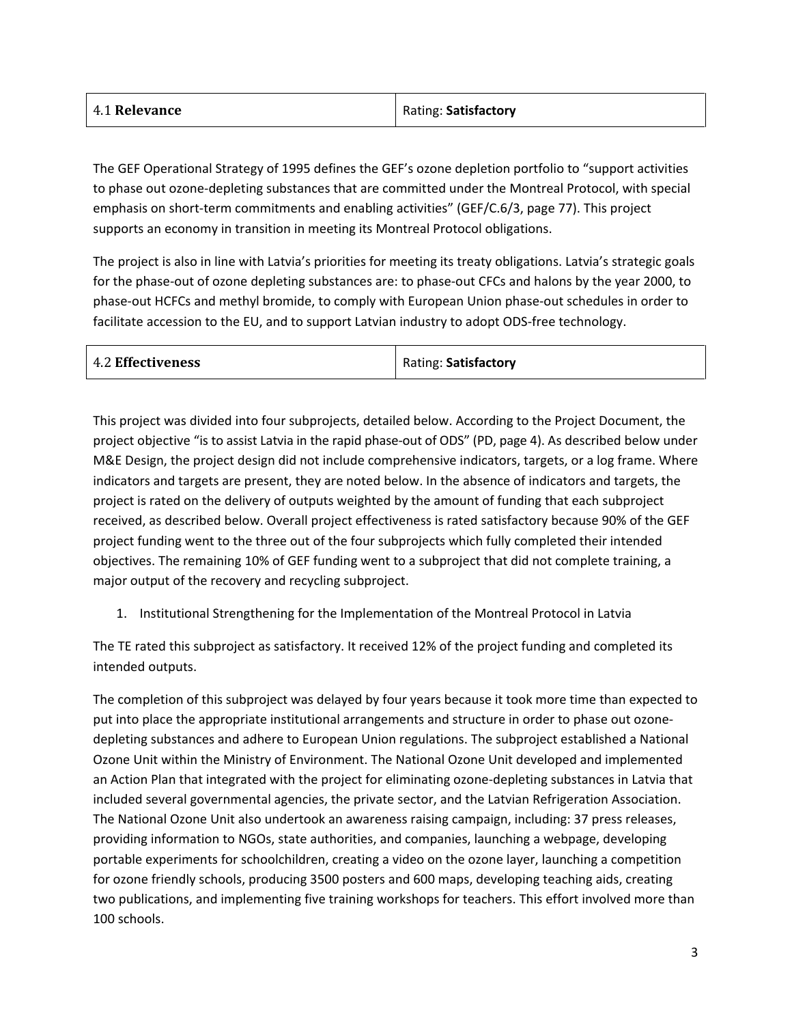| 4.1 Relevance | Rating: Satisfactory |
|---------------|----------------------|
|               |                      |

The GEF Operational Strategy of 1995 defines the GEF's ozone depletion portfolio to "support activities to phase out ozone-depleting substances that are committed under the Montreal Protocol, with special emphasis on short-term commitments and enabling activities" (GEF/C.6/3, page 77). This project supports an economy in transition in meeting its Montreal Protocol obligations.

The project is also in line with Latvia's priorities for meeting its treaty obligations. Latvia's strategic goals for the phase-out of ozone depleting substances are: to phase-out CFCs and halons by the year 2000, to phase-out HCFCs and methyl bromide, to comply with European Union phase-out schedules in order to facilitate accession to the EU, and to support Latvian industry to adopt ODS-free technology.

| <b>4.2 Effectiveness</b> | Rating: Satisfactory |
|--------------------------|----------------------|
|--------------------------|----------------------|

This project was divided into four subprojects, detailed below. According to the Project Document, the project objective "is to assist Latvia in the rapid phase-out of ODS" (PD, page 4). As described below under M&E Design, the project design did not include comprehensive indicators, targets, or a log frame. Where indicators and targets are present, they are noted below. In the absence of indicators and targets, the project is rated on the delivery of outputs weighted by the amount of funding that each subproject received, as described below. Overall project effectiveness is rated satisfactory because 90% of the GEF project funding went to the three out of the four subprojects which fully completed their intended objectives. The remaining 10% of GEF funding went to a subproject that did not complete training, a major output of the recovery and recycling subproject.

1. Institutional Strengthening for the Implementation of the Montreal Protocol in Latvia

The TE rated this subproject as satisfactory. It received 12% of the project funding and completed its intended outputs.

The completion of this subproject was delayed by four years because it took more time than expected to put into place the appropriate institutional arrangements and structure in order to phase out ozonedepleting substances and adhere to European Union regulations. The subproject established a National Ozone Unit within the Ministry of Environment. The National Ozone Unit developed and implemented an Action Plan that integrated with the project for eliminating ozone-depleting substances in Latvia that included several governmental agencies, the private sector, and the Latvian Refrigeration Association. The National Ozone Unit also undertook an awareness raising campaign, including: 37 press releases, providing information to NGOs, state authorities, and companies, launching a webpage, developing portable experiments for schoolchildren, creating a video on the ozone layer, launching a competition for ozone friendly schools, producing 3500 posters and 600 maps, developing teaching aids, creating two publications, and implementing five training workshops for teachers. This effort involved more than 100 schools.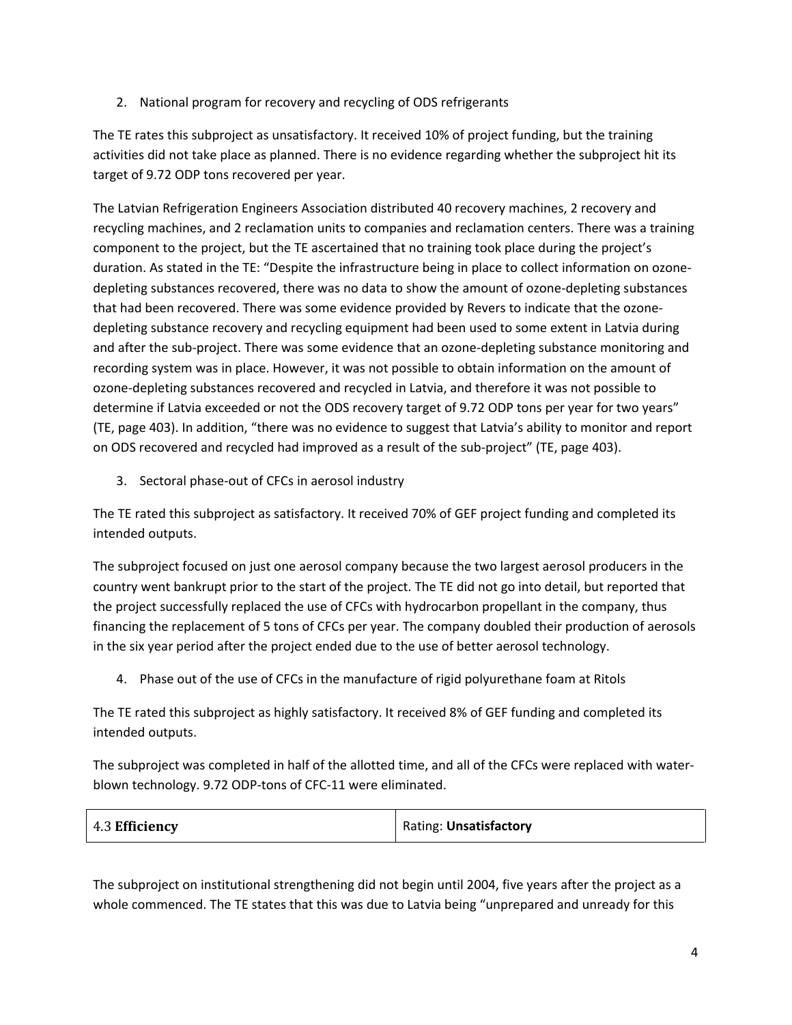2. National program for recovery and recycling of ODS refrigerants

The TE rates this subproject as unsatisfactory. It received 10% of project funding, but the training activities did not take place as planned. There is no evidence regarding whether the subproject hit its target of 9.72 ODP tons recovered per year.

The Latvian Refrigeration Engineers Association distributed 40 recovery machines, 2 recovery and recycling machines, and 2 reclamation units to companies and reclamation centers. There was a training component to the project, but the TE ascertained that no training took place during the project's duration. As stated in the TE: "Despite the infrastructure being in place to collect information on ozone‐ depleting substances recovered, there was no data to show the amount of ozone‐depleting substances that had been recovered. There was some evidence provided by Revers to indicate that the ozone‐ depleting substance recovery and recycling equipment had been used to some extent in Latvia during and after the sub‐project. There was some evidence that an ozone‐depleting substance monitoring and recording system was in place. However, it was not possible to obtain information on the amount of ozone‐depleting substances recovered and recycled in Latvia, and therefore it was not possible to determine if Latvia exceeded or not the ODS recovery target of 9.72 ODP tons per year for two years" (TE, page 403). In addition, "there was no evidence to suggest that Latvia's ability to monitor and report on ODS recovered and recycled had improved as a result of the sub‐project" (TE, page 403).

3. Sectoral phase‐out of CFCs in aerosol industry

The TE rated this subproject as satisfactory. It received 70% of GEF project funding and completed its intended outputs.

The subproject focused on just one aerosol company because the two largest aerosol producers in the country went bankrupt prior to the start of the project. The TE did not go into detail, but reported that the project successfully replaced the use of CFCs with hydrocarbon propellant in the company, thus financing the replacement of 5 tons of CFCs per year. The company doubled their production of aerosols in the six year period after the project ended due to the use of better aerosol technology.

4. Phase out of the use of CFCs in the manufacture of rigid polyurethane foam at Ritols

The TE rated this subproject as highly satisfactory. It received 8% of GEF funding and completed its intended outputs.

The subproject was completed in half of the allotted time, and all of the CFCs were replaced with waterblown technology. 9.72 ODP-tons of CFC-11 were eliminated.

| 4.3 Efficiency | Rating: Unsatisfactory |
|----------------|------------------------|
|                |                        |

The subproject on institutional strengthening did not begin until 2004, five years after the project as a whole commenced. The TE states that this was due to Latvia being "unprepared and unready for this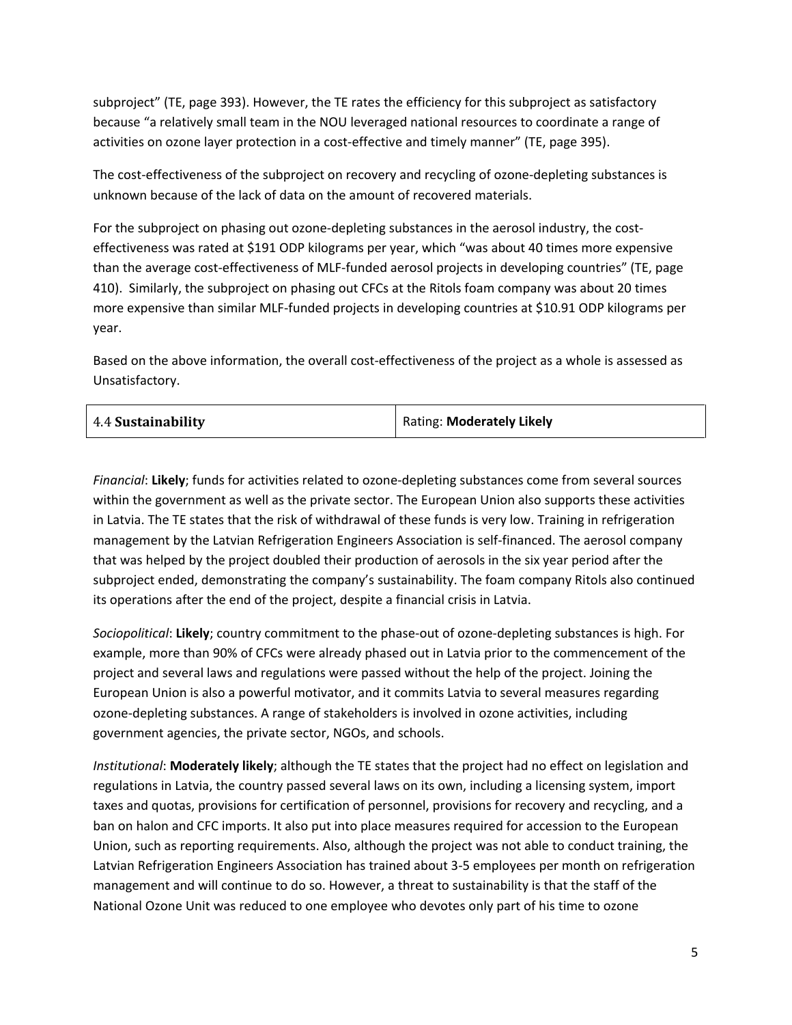subproject" (TE, page 393). However, the TE rates the efficiency for this subproject as satisfactory because "a relatively small team in the NOU leveraged national resources to coordinate a range of activities on ozone layer protection in a cost-effective and timely manner" (TE, page 395).

The cost-effectiveness of the subproject on recovery and recycling of ozone-depleting substances is unknown because of the lack of data on the amount of recovered materials.

For the subproject on phasing out ozone-depleting substances in the aerosol industry, the costeffectiveness was rated at \$191 ODP kilograms per year, which "was about 40 times more expensive than the average cost‐effectiveness of MLF‐funded aerosol projects in developing countries" (TE, page 410). Similarly, the subproject on phasing out CFCs at the Ritols foam company was about 20 times more expensive than similar MLF-funded projects in developing countries at \$10.91 ODP kilograms per year.

Based on the above information, the overall cost-effectiveness of the project as a whole is assessed as Unsatisfactory.

| 4.4 Sustainability | Rating: Moderately Likely |
|--------------------|---------------------------|
|                    |                           |

*Financial*: **Likely**; funds for activities related to ozone-depleting substances come from several sources within the government as well as the private sector. The European Union also supports these activities in Latvia. The TE states that the risk of withdrawal of these funds is very low. Training in refrigeration management by the Latvian Refrigeration Engineers Association is self-financed. The aerosol company that was helped by the project doubled their production of aerosols in the six year period after the subproject ended, demonstrating the company's sustainability. The foam company Ritols also continued its operations after the end of the project, despite a financial crisis in Latvia.

*Sociopolitical*: **Likely**; country commitment to the phase-out of ozone-depleting substances is high. For example, more than 90% of CFCs were already phased out in Latvia prior to the commencement of the project and several laws and regulations were passed without the help of the project. Joining the European Union is also a powerful motivator, and it commits Latvia to several measures regarding ozone-depleting substances. A range of stakeholders is involved in ozone activities, including government agencies, the private sector, NGOs, and schools.

*Institutional*: **Moderately likely**; although the TE states that the project had no effect on legislation and regulations in Latvia, the country passed several laws on its own, including a licensing system, import taxes and quotas, provisions for certification of personnel, provisions for recovery and recycling, and a ban on halon and CFC imports. It also put into place measures required for accession to the European Union, such as reporting requirements. Also, although the project was not able to conduct training, the Latvian Refrigeration Engineers Association has trained about 3-5 employees per month on refrigeration management and will continue to do so. However, a threat to sustainability is that the staff of the National Ozone Unit was reduced to one employee who devotes only part of his time to ozone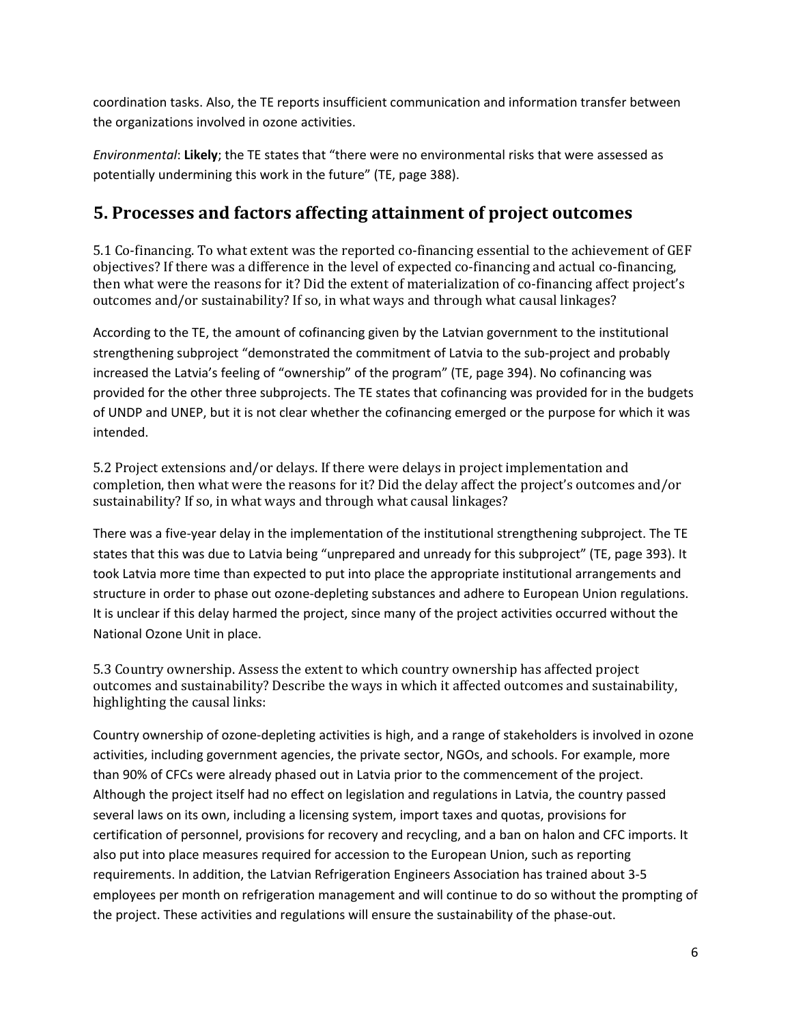coordination tasks. Also, the TE reports insufficient communication and information transfer between the organizations involved in ozone activities.

*Environmental*: **Likely**; the TE states that "there were no environmental risks that were assessed as potentially undermining this work in the future" (TE, page 388).

#### **5. Processes and factors affecting attainment of project outcomes**

5.1 Co-financing. To what extent was the reported co-financing essential to the achievement of GEF objectives? If there was a difference in the level of expected co-financing and actual co-financing, then what were the reasons for it? Did the extent of materialization of co-financing affect project's outcomes and/or sustainability? If so, in what ways and through what causal linkages?

According to the TE, the amount of cofinancing given by the Latvian government to the institutional strengthening subproject "demonstrated the commitment of Latvia to the sub‐project and probably increased the Latvia's feeling of "ownership" of the program" (TE, page 394). No cofinancing was provided for the other three subprojects. The TE states that cofinancing was provided for in the budgets of UNDP and UNEP, but it is not clear whether the cofinancing emerged or the purpose for which it was intended.

5.2 Project extensions and/or delays. If there were delays in project implementation and completion, then what were the reasons for it? Did the delay affect the project's outcomes and/or sustainability? If so, in what ways and through what causal linkages?

There was a five-year delay in the implementation of the institutional strengthening subproject. The TE states that this was due to Latvia being "unprepared and unready for this subproject" (TE, page 393). It took Latvia more time than expected to put into place the appropriate institutional arrangements and structure in order to phase out ozone-depleting substances and adhere to European Union regulations. It is unclear if this delay harmed the project, since many of the project activities occurred without the National Ozone Unit in place.

5.3 Country ownership. Assess the extent to which country ownership has affected project outcomes and sustainability? Describe the ways in which it affected outcomes and sustainability, highlighting the causal links:

Country ownership of ozone-depleting activities is high, and a range of stakeholders is involved in ozone activities, including government agencies, the private sector, NGOs, and schools. For example, more than 90% of CFCs were already phased out in Latvia prior to the commencement of the project. Although the project itself had no effect on legislation and regulations in Latvia, the country passed several laws on its own, including a licensing system, import taxes and quotas, provisions for certification of personnel, provisions for recovery and recycling, and a ban on halon and CFC imports. It also put into place measures required for accession to the European Union, such as reporting requirements. In addition, the Latvian Refrigeration Engineers Association has trained about 3-5 employees per month on refrigeration management and will continue to do so without the prompting of the project. These activities and regulations will ensure the sustainability of the phase-out.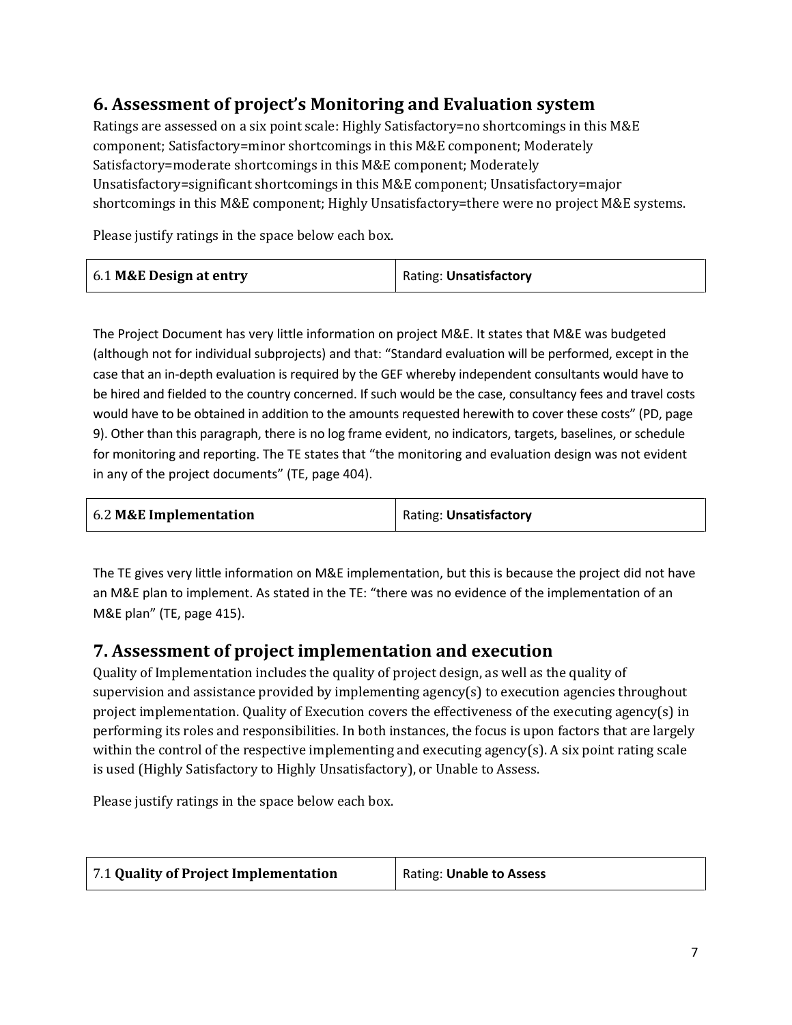# **6. Assessment of project's Monitoring and Evaluation system**

Ratings are assessed on a six point scale: Highly Satisfactory=no shortcomings in this M&E component; Satisfactory=minor shortcomings in this M&E component; Moderately Satisfactory=moderate shortcomings in this M&E component; Moderately Unsatisfactory=significant shortcomings in this M&E component; Unsatisfactory=major shortcomings in this M&E component; Highly Unsatisfactory=there were no project M&E systems.

Please justify ratings in the space below each box.

| 6.1 M&E Design at entry<br>Rating: Unsatisfactory |  |
|---------------------------------------------------|--|
|---------------------------------------------------|--|

The Project Document has very little information on project M&E. It states that M&E was budgeted (although not for individual subprojects) and that: "Standard evaluation will be performed, except in the case that an in-depth evaluation is required by the GEF whereby independent consultants would have to be hired and fielded to the country concerned. If such would be the case, consultancy fees and travel costs would have to be obtained in addition to the amounts requested herewith to cover these costs" (PD, page 9). Other than this paragraph, there is no log frame evident, no indicators, targets, baselines, or schedule for monitoring and reporting. The TE states that "the monitoring and evaluation design was not evident in any of the project documents" (TE, page 404).

| 6.2 M&E Implementation | Rating: Unsatisfactory |
|------------------------|------------------------|
|------------------------|------------------------|

The TE gives very little information on M&E implementation, but this is because the project did not have an M&E plan to implement. As stated in the TE: "there was no evidence of the implementation of an M&E plan" (TE, page 415).

### **7. Assessment of project implementation and execution**

Quality of Implementation includes the quality of project design, as well as the quality of supervision and assistance provided by implementing agency(s) to execution agencies throughout project implementation. Quality of Execution covers the effectiveness of the executing agency(s) in performing its roles and responsibilities. In both instances, the focus is upon factors that are largely within the control of the respective implementing and executing agency(s). A six point rating scale is used (Highly Satisfactory to Highly Unsatisfactory), or Unable to Assess.

Please justify ratings in the space below each box.

| 7.1 Quality of Project Implementation | <b>Rating: Unable to Assess</b> |
|---------------------------------------|---------------------------------|
|                                       |                                 |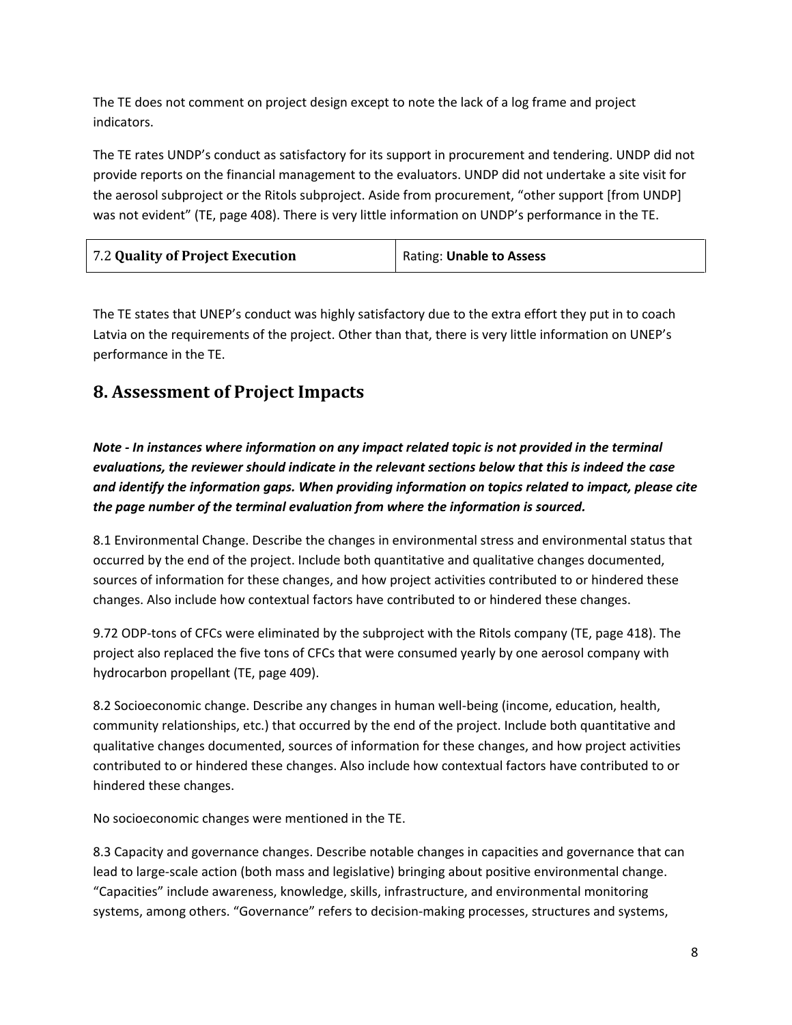The TE does not comment on project design except to note the lack of a log frame and project indicators.

The TE rates UNDP's conduct as satisfactory for its support in procurement and tendering. UNDP did not provide reports on the financial management to the evaluators. UNDP did not undertake a site visit for the aerosol subproject or the Ritols subproject. Aside from procurement, "other support [from UNDP] was not evident" (TE, page 408). There is very little information on UNDP's performance in the TE.

| 7.2 Quality of Project Execution | Rating: Unable to Assess |
|----------------------------------|--------------------------|
|----------------------------------|--------------------------|

The TE states that UNEP's conduct was highly satisfactory due to the extra effort they put in to coach Latvia on the requirements of the project. Other than that, there is very little information on UNEP's performance in the TE.

## **8. Assessment of Project Impacts**

*Note - In instances where information on any impact related topic is not provided in the terminal evaluations, the reviewer should indicate in the relevant sections below that this is indeed the case and identify the information gaps. When providing information on topics related to impact, please cite the page number of the terminal evaluation from where the information is sourced.* 

8.1 Environmental Change. Describe the changes in environmental stress and environmental status that occurred by the end of the project. Include both quantitative and qualitative changes documented, sources of information for these changes, and how project activities contributed to or hindered these changes. Also include how contextual factors have contributed to or hindered these changes.

9.72 ODP-tons of CFCs were eliminated by the subproject with the Ritols company (TE, page 418). The project also replaced the five tons of CFCs that were consumed yearly by one aerosol company with hydrocarbon propellant (TE, page 409).

8.2 Socioeconomic change. Describe any changes in human well-being (income, education, health, community relationships, etc.) that occurred by the end of the project. Include both quantitative and qualitative changes documented, sources of information for these changes, and how project activities contributed to or hindered these changes. Also include how contextual factors have contributed to or hindered these changes.

No socioeconomic changes were mentioned in the TE.

8.3 Capacity and governance changes. Describe notable changes in capacities and governance that can lead to large-scale action (both mass and legislative) bringing about positive environmental change. "Capacities" include awareness, knowledge, skills, infrastructure, and environmental monitoring systems, among others. "Governance" refers to decision-making processes, structures and systems,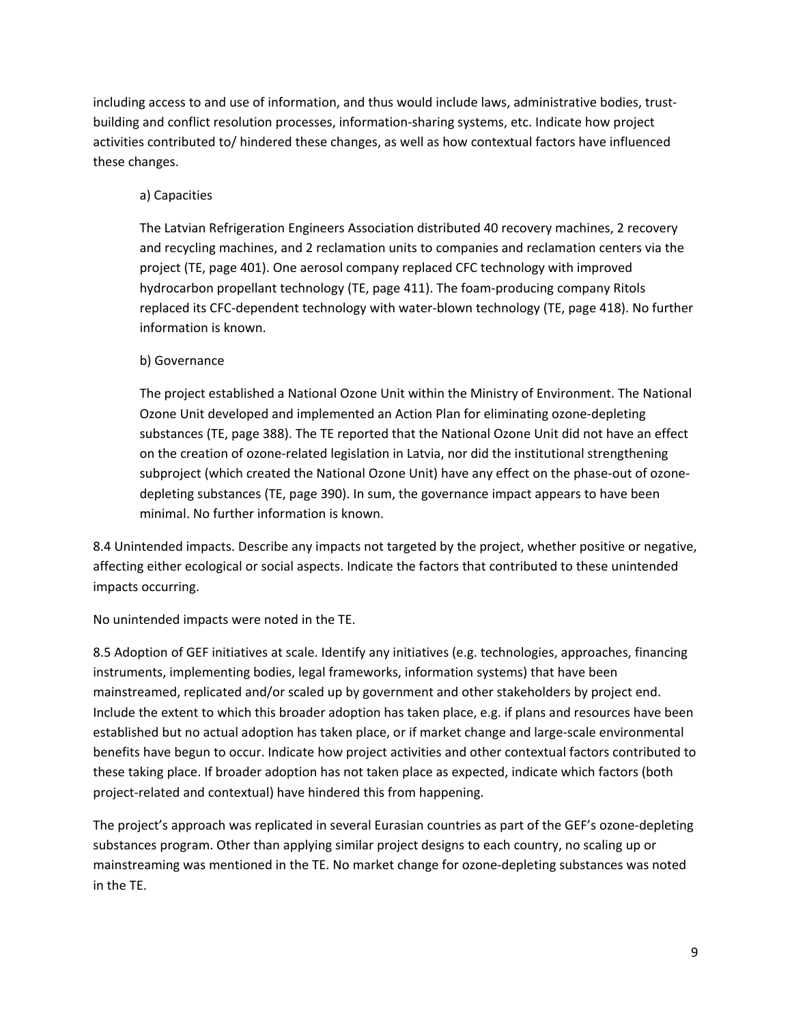including access to and use of information, and thus would include laws, administrative bodies, trustbuilding and conflict resolution processes, information-sharing systems, etc. Indicate how project activities contributed to/ hindered these changes, as well as how contextual factors have influenced these changes.

#### a) Capacities

The Latvian Refrigeration Engineers Association distributed 40 recovery machines, 2 recovery and recycling machines, and 2 reclamation units to companies and reclamation centers via the project (TE, page 401). One aerosol company replaced CFC technology with improved hydrocarbon propellant technology (TE, page 411). The foam-producing company Ritols replaced its CFC-dependent technology with water-blown technology (TE, page 418). No further information is known.

#### b) Governance

The project established a National Ozone Unit within the Ministry of Environment. The National Ozone Unit developed and implemented an Action Plan for eliminating ozone-depleting substances (TE, page 388). The TE reported that the National Ozone Unit did not have an effect on the creation of ozone-related legislation in Latvia, nor did the institutional strengthening subproject (which created the National Ozone Unit) have any effect on the phase-out of ozonedepleting substances (TE, page 390). In sum, the governance impact appears to have been minimal. No further information is known.

8.4 Unintended impacts. Describe any impacts not targeted by the project, whether positive or negative, affecting either ecological or social aspects. Indicate the factors that contributed to these unintended impacts occurring.

No unintended impacts were noted in the TE.

8.5 Adoption of GEF initiatives at scale. Identify any initiatives (e.g. technologies, approaches, financing instruments, implementing bodies, legal frameworks, information systems) that have been mainstreamed, replicated and/or scaled up by government and other stakeholders by project end. Include the extent to which this broader adoption has taken place, e.g. if plans and resources have been established but no actual adoption has taken place, or if market change and large-scale environmental benefits have begun to occur. Indicate how project activities and other contextual factors contributed to these taking place. If broader adoption has not taken place as expected, indicate which factors (both project-related and contextual) have hindered this from happening.

The project's approach was replicated in several Eurasian countries as part of the GEF's ozone-depleting substances program. Other than applying similar project designs to each country, no scaling up or mainstreaming was mentioned in the TE. No market change for ozone-depleting substances was noted in the TE.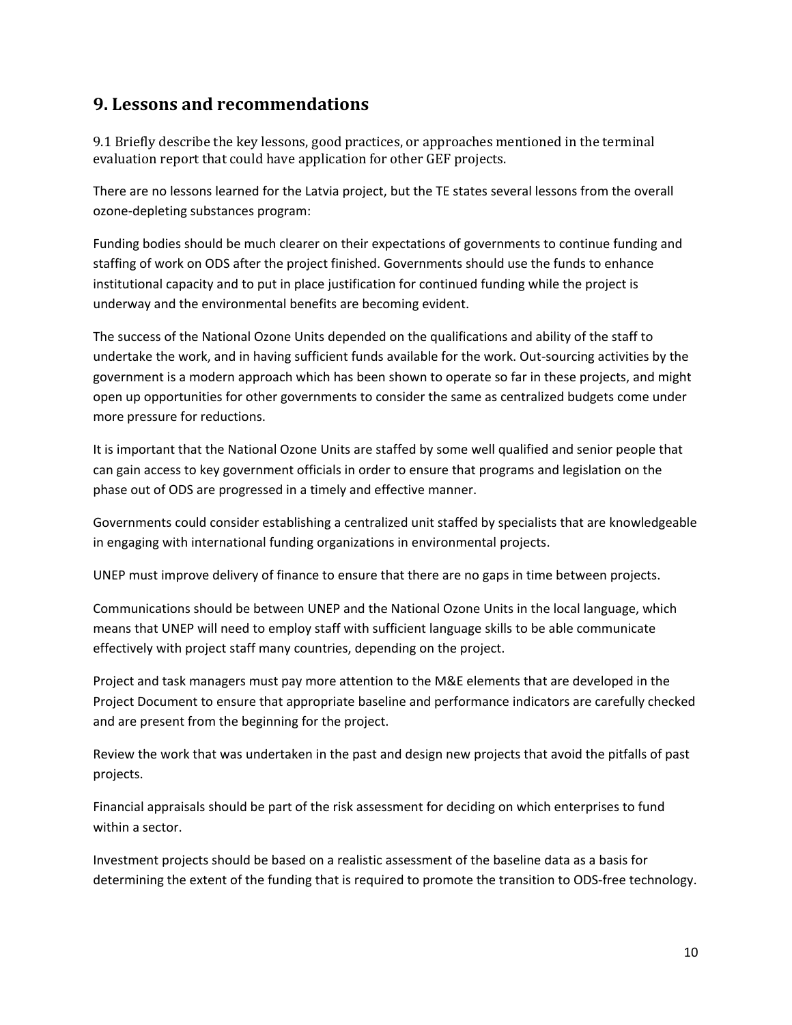### **9. Lessons and recommendations**

9.1 Briefly describe the key lessons, good practices, or approaches mentioned in the terminal evaluation report that could have application for other GEF projects.

There are no lessons learned for the Latvia project, but the TE states several lessons from the overall ozone-depleting substances program:

Funding bodies should be much clearer on their expectations of governments to continue funding and staffing of work on ODS after the project finished. Governments should use the funds to enhance institutional capacity and to put in place justification for continued funding while the project is underway and the environmental benefits are becoming evident.

The success of the National Ozone Units depended on the qualifications and ability of the staff to undertake the work, and in having sufficient funds available for the work. Out-sourcing activities by the government is a modern approach which has been shown to operate so far in these projects, and might open up opportunities for other governments to consider the same as centralized budgets come under more pressure for reductions.

It is important that the National Ozone Units are staffed by some well qualified and senior people that can gain access to key government officials in order to ensure that programs and legislation on the phase out of ODS are progressed in a timely and effective manner.

Governments could consider establishing a centralized unit staffed by specialists that are knowledgeable in engaging with international funding organizations in environmental projects.

UNEP must improve delivery of finance to ensure that there are no gaps in time between projects.

Communications should be between UNEP and the National Ozone Units in the local language, which means that UNEP will need to employ staff with sufficient language skills to be able communicate effectively with project staff many countries, depending on the project.

Project and task managers must pay more attention to the M&E elements that are developed in the Project Document to ensure that appropriate baseline and performance indicators are carefully checked and are present from the beginning for the project.

Review the work that was undertaken in the past and design new projects that avoid the pitfalls of past projects.

Financial appraisals should be part of the risk assessment for deciding on which enterprises to fund within a sector.

Investment projects should be based on a realistic assessment of the baseline data as a basis for determining the extent of the funding that is required to promote the transition to ODS-free technology.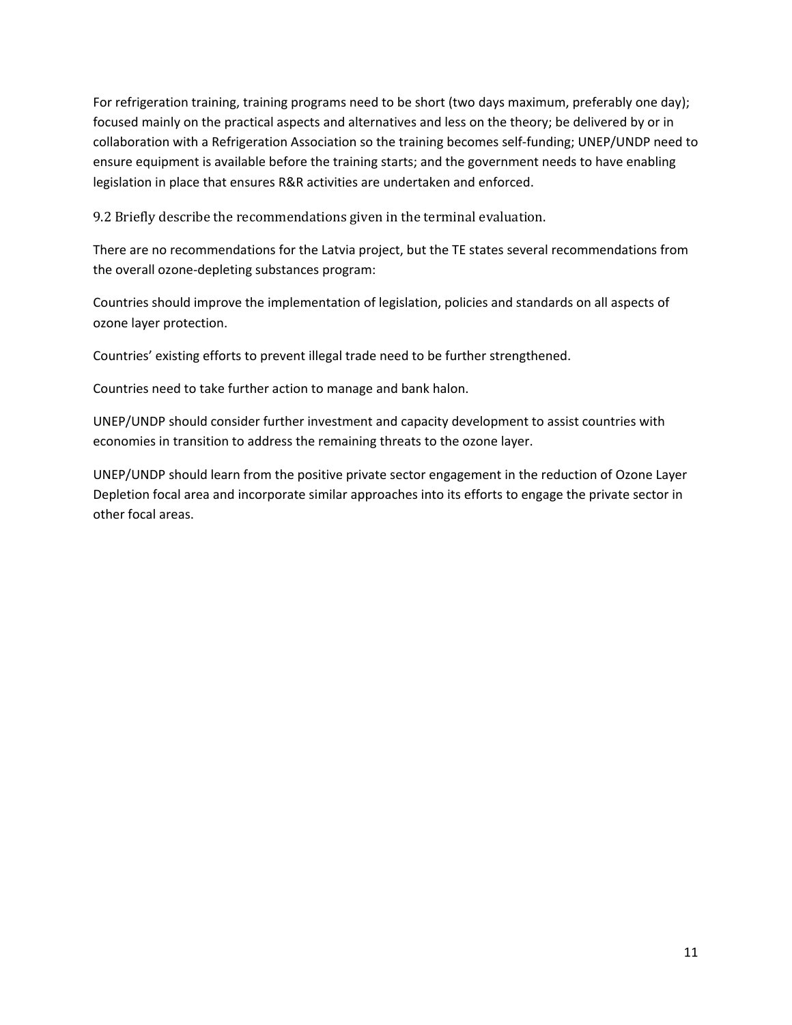For refrigeration training, training programs need to be short (two days maximum, preferably one day); focused mainly on the practical aspects and alternatives and less on the theory; be delivered by or in collaboration with a Refrigeration Association so the training becomes self-funding; UNEP/UNDP need to ensure equipment is available before the training starts; and the government needs to have enabling legislation in place that ensures R&R activities are undertaken and enforced.

9.2 Briefly describe the recommendations given in the terminal evaluation.

There are no recommendations for the Latvia project, but the TE states several recommendations from the overall ozone-depleting substances program:

Countries should improve the implementation of legislation, policies and standards on all aspects of ozone layer protection.

Countries' existing efforts to prevent illegal trade need to be further strengthened.

Countries need to take further action to manage and bank halon.

UNEP/UNDP should consider further investment and capacity development to assist countries with economies in transition to address the remaining threats to the ozone layer.

UNEP/UNDP should learn from the positive private sector engagement in the reduction of Ozone Layer Depletion focal area and incorporate similar approaches into its efforts to engage the private sector in other focal areas.